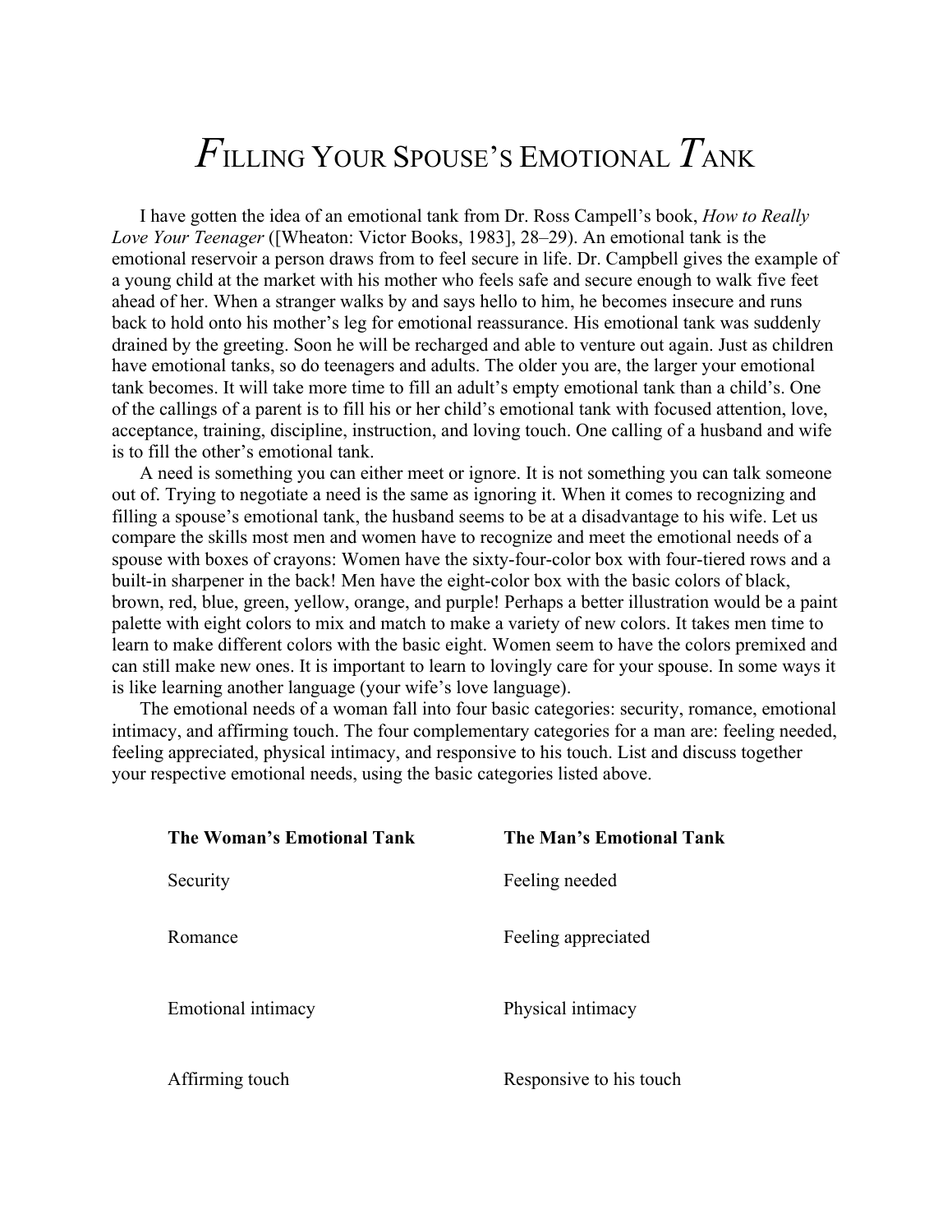## *F*ILLING YOUR SPOUSE'S EMOTIONAL *T*ANK

I have gotten the idea of an emotional tank from Dr. Ross Campell's book, *How to Really Love Your Teenager* ([Wheaton: Victor Books, 1983], 28–29). An emotional tank is the emotional reservoir a person draws from to feel secure in life. Dr. Campbell gives the example of a young child at the market with his mother who feels safe and secure enough to walk five feet ahead of her. When a stranger walks by and says hello to him, he becomes insecure and runs back to hold onto his mother's leg for emotional reassurance. His emotional tank was suddenly drained by the greeting. Soon he will be recharged and able to venture out again. Just as children have emotional tanks, so do teenagers and adults. The older you are, the larger your emotional tank becomes. It will take more time to fill an adult's empty emotional tank than a child's. One of the callings of a parent is to fill his or her child's emotional tank with focused attention, love, acceptance, training, discipline, instruction, and loving touch. One calling of a husband and wife is to fill the other's emotional tank.

A need is something you can either meet or ignore. It is not something you can talk someone out of. Trying to negotiate a need is the same as ignoring it. When it comes to recognizing and filling a spouse's emotional tank, the husband seems to be at a disadvantage to his wife. Let us compare the skills most men and women have to recognize and meet the emotional needs of a spouse with boxes of crayons: Women have the sixty-four-color box with four-tiered rows and a built-in sharpener in the back! Men have the eight-color box with the basic colors of black, brown, red, blue, green, yellow, orange, and purple! Perhaps a better illustration would be a paint palette with eight colors to mix and match to make a variety of new colors. It takes men time to learn to make different colors with the basic eight. Women seem to have the colors premixed and can still make new ones. It is important to learn to lovingly care for your spouse. In some ways it is like learning another language (your wife's love language).

The emotional needs of a woman fall into four basic categories: security, romance, emotional intimacy, and affirming touch. The four complementary categories for a man are: feeling needed, feeling appreciated, physical intimacy, and responsive to his touch. List and discuss together your respective emotional needs, using the basic categories listed above.

| The Woman's Emotional Tank | The Man's Emotional Tank |
|----------------------------|--------------------------|
| Security                   | Feeling needed           |
| Romance                    | Feeling appreciated      |
| Emotional intimacy         | Physical intimacy        |
| Affirming touch            | Responsive to his touch  |